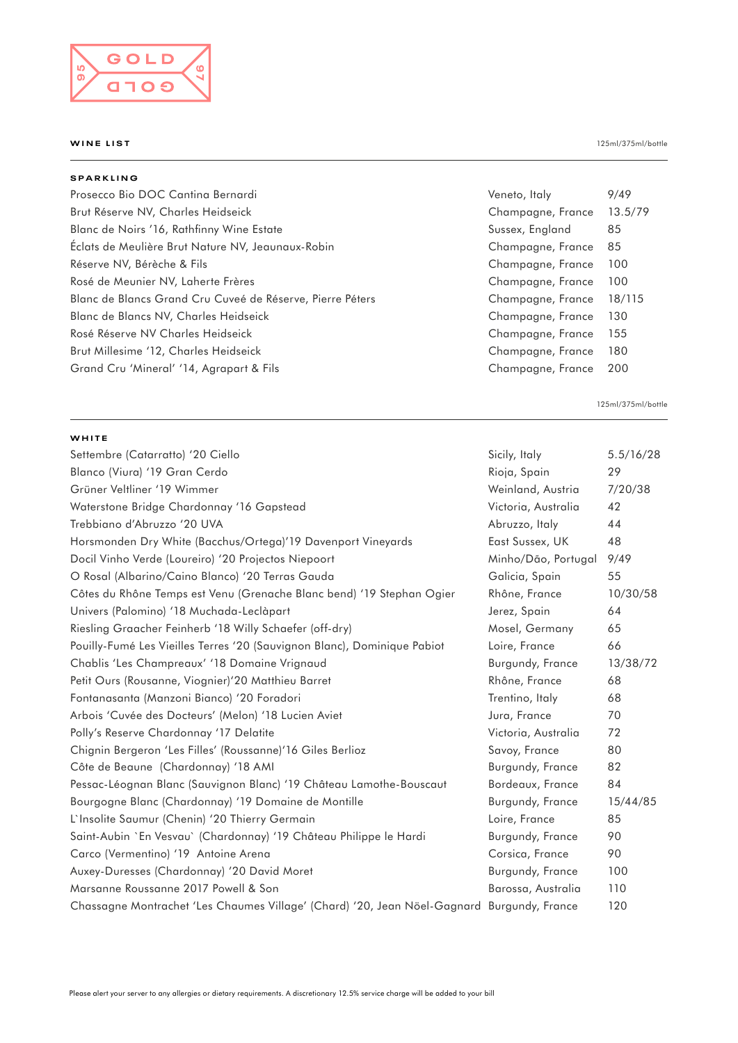

| <b>SPARKLING</b>                                          |                   |         |
|-----------------------------------------------------------|-------------------|---------|
| Prosecco Bio DOC Cantina Bernardi                         | Veneto, Italy     | 9/49    |
| Brut Réserve NV, Charles Heidseick                        | Champagne, France | 13.5/79 |
| Blanc de Noirs '16, Rathfinny Wine Estate                 | Sussex, England   | 85      |
| Eclats de Meulière Brut Nature NV, Jeaunaux-Robin         | Champagne, France | 85      |
| Réserve NV, Bérèche & Fils                                | Champagne, France | 100     |
| Rosé de Meunier NV, Laherte Frères                        | Champagne, France | 100     |
| Blanc de Blancs Grand Cru Cuveé de Réserve, Pierre Péters | Champagne, France | 18/115  |
| Blanc de Blancs NV, Charles Heidseick                     | Champagne, France | 130     |
| Rosé Réserve NV Charles Heidseick                         | Champagne, France | 155     |
| Brut Millesime '12, Charles Heidseick                     | Champagne, France | 180     |
| Grand Cru 'Mineral' '14, Agrapart & Fils                  | Champagne, France | 200     |

125ml/375ml/bottle

## **WHITE**

| Settembre (Catarratto) '20 Ciello                                                          | Sicily, Italy       | 5.5/16/28 |
|--------------------------------------------------------------------------------------------|---------------------|-----------|
| Blanco (Viura) '19 Gran Cerdo                                                              | Rioja, Spain        | 29        |
| Grüner Veltliner '19 Wimmer                                                                | Weinland, Austria   | 7/20/38   |
| Waterstone Bridge Chardonnay '16 Gapstead                                                  | Victoria, Australia | 42        |
| Trebbiano d'Abruzzo '20 UVA                                                                | Abruzzo, Italy      | 44        |
| Horsmonden Dry White (Bacchus/Ortega)'19 Davenport Vineyards                               | East Sussex, UK     | 48        |
| Docil Vinho Verde (Loureiro) '20 Projectos Niepoort                                        | Minho/Dão, Portugal | 9/49      |
| O Rosal (Albarino/Caino Blanco) '20 Terras Gauda                                           | Galicia, Spain      | 55        |
| Côtes du Rhône Temps est Venu (Grenache Blanc bend) '19 Stephan Ogier                      | Rhône, France       | 10/30/58  |
| Univers (Palomino) '18 Muchada-Leclàpart                                                   | Jerez, Spain        | 64        |
| Riesling Graacher Feinherb '18 Willy Schaefer (off-dry)                                    | Mosel, Germany      | 65        |
| Pouilly-Fumé Les Vieilles Terres '20 (Sauvignon Blanc), Dominique Pabiot                   | Loire, France       | 66        |
| Chablis 'Les Champreaux' '18 Domaine Vrignaud                                              | Burgundy, France    | 13/38/72  |
| Petit Ours (Rousanne, Viognier)'20 Matthieu Barret                                         | Rhône, France       | 68        |
| Fontanasanta (Manzoni Bianco) '20 Foradori                                                 | Trentino, Italy     | 68        |
| Arbois 'Cuvée des Docteurs' (Melon) '18 Lucien Aviet                                       | Jura, France        | 70        |
| Polly's Reserve Chardonnay '17 Delatite                                                    | Victoria, Australia | 72        |
| Chignin Bergeron 'Les Filles' (Roussanne)'16 Giles Berlioz                                 | Savoy, France       | 80        |
| Côte de Beaune (Chardonnay) '18 AMI                                                        | Burgundy, France    | 82        |
| Pessac-Léognan Blanc (Sauvignon Blanc) '19 Château Lamothe-Bouscaut                        | Bordeaux, France    | 84        |
| Bourgogne Blanc (Chardonnay) '19 Domaine de Montille                                       | Burgundy, France    | 15/44/85  |
| L'Insolite Saumur (Chenin) '20 Thierry Germain                                             | Loire, France       | 85        |
| Saint-Aubin `En Vesvau` (Chardonnay) '19 Château Philippe le Hardi                         | Burgundy, France    | 90        |
| Carco (Vermentino) '19 Antoine Arena                                                       | Corsica, France     | 90        |
| Auxey-Duresses (Chardonnay) '20 David Moret                                                | Burgundy, France    | 100       |
| Marsanne Roussanne 2017 Powell & Son                                                       | Barossa, Australia  | 110       |
| Chassagne Montrachet 'Les Chaumes Village' (Chard) '20, Jean Nöel-Gagnard Burgundy, France |                     | 120       |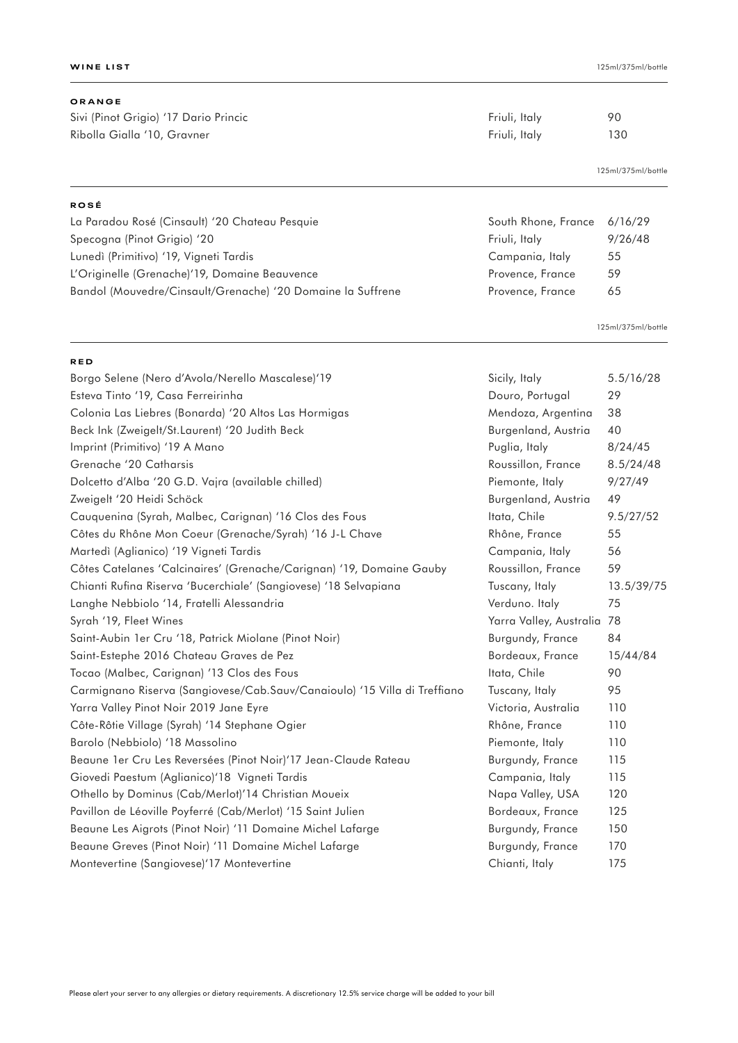# **ORANGE**

**RED**

Sivi (Pinot Grigio) '17 Dario Princic Christian Computer Science Friuli, Italy 90 Ribolla Gialla '10, Gravner **Friuli, Italy** 130

125ml/375ml/bottle

| <b>ROSÉ</b>                                                 |                             |         |
|-------------------------------------------------------------|-----------------------------|---------|
| La Paradou Rosé (Cinsault) '20 Chateau Pesquie              | South Rhone, France 6/16/29 |         |
| Specogna (Pinot Grigio) '20                                 | Friuli, Italy               | 9/26/48 |
| Lunedì (Primitivo) '19, Vigneti Tardis                      | Campania, Italy             | 55      |
| L'Originelle (Grenache) 19, Domaine Beauvence               | Provence, France            | 59      |
| Bandol (Mouvedre/Cinsault/Grenache) '20 Domaine la Suffrene | Provence, France            | 65      |

125ml/375ml/bottle

| Borgo Selene (Nero d'Avola/Nerello Mascalese)'19                          | Sicily, Italy              | 5.5/16/28  |
|---------------------------------------------------------------------------|----------------------------|------------|
| Esteva Tinto '19, Casa Ferreirinha                                        | Douro, Portugal            | 29         |
| Colonia Las Liebres (Bonarda) '20 Altos Las Hormigas                      | Mendoza, Argentina         | 38         |
| Beck Ink (Zweigelt/St.Laurent) '20 Judith Beck                            | Burgenland, Austria        | 40         |
| Imprint (Primitivo) '19 A Mano                                            | Puglia, Italy              | 8/24/45    |
| Grenache '20 Catharsis                                                    | Roussillon, France         | 8.5/24/48  |
| Dolcetto d'Alba '20 G.D. Vajra (available chilled)                        | Piemonte, Italy            | 9/27/49    |
| Zweigelt '20 Heidi Schöck                                                 | Burgenland, Austria        | 49         |
| Cauquenina (Syrah, Malbec, Carignan) '16 Clos des Fous                    | Itata, Chile               | 9.5/27/52  |
| Côtes du Rhône Mon Coeur (Grenache/Syrah) '16 J-L Chave                   | Rhône, France              | 55         |
| Martedì (Aglianico) '19 Vigneti Tardis                                    | Campania, Italy            | 56         |
| Côtes Catelanes 'Calcinaires' (Grenache/Carignan) '19, Domaine Gauby      | Roussillon, France         | 59         |
| Chianti Rufina Riserva 'Bucerchiale' (Sangiovese) '18 Selvapiana          | Tuscany, Italy             | 13.5/39/75 |
| Langhe Nebbiolo '14, Fratelli Alessandria                                 | Verduno. Italy             | 75         |
| Syrah '19, Fleet Wines                                                    | Yarra Valley, Australia 78 |            |
| Saint-Aubin 1er Cru '18, Patrick Miolane (Pinot Noir)                     | Burgundy, France           | 84         |
| Saint-Estephe 2016 Chateau Graves de Pez                                  | Bordeaux, France           | 15/44/84   |
| Tocao (Malbec, Carignan) '13 Clos des Fous                                | Itata, Chile               | 90         |
| Carmignano Riserva (Sangiovese/Cab.Sauv/Canaioulo) '15 Villa di Treffiano | Tuscany, Italy             | 95         |
| Yarra Valley Pinot Noir 2019 Jane Eyre                                    | Victoria, Australia        | 110        |
| Côte-Rôtie Village (Syrah) '14 Stephane Ogier                             | Rhône, France              | 110        |
| Barolo (Nebbiolo) '18 Massolino                                           | Piemonte, Italy            | 110        |
| Beaune 1er Cru Les Reversées (Pinot Noir)'17 Jean-Claude Rateau           | Burgundy, France           | 115        |
| Giovedi Paestum (Aglianico)'18 Vigneti Tardis                             | Campania, Italy            | 115        |
| Othello by Dominus (Cab/Merlot)'14 Christian Moueix                       | Napa Valley, USA           | 120        |
| Pavillon de Léoville Poyferré (Cab/Merlot) '15 Saint Julien               | Bordeaux, France           | 125        |
| Beaune Les Aigrots (Pinot Noir) '11 Domaine Michel Lafarge                | Burgundy, France           | 150        |
| Beaune Greves (Pinot Noir) '11 Domaine Michel Lafarge                     | Burgundy, France           | 170        |
| Montevertine (Sangiovese)'17 Montevertine                                 | Chianti, Italy             | 175        |